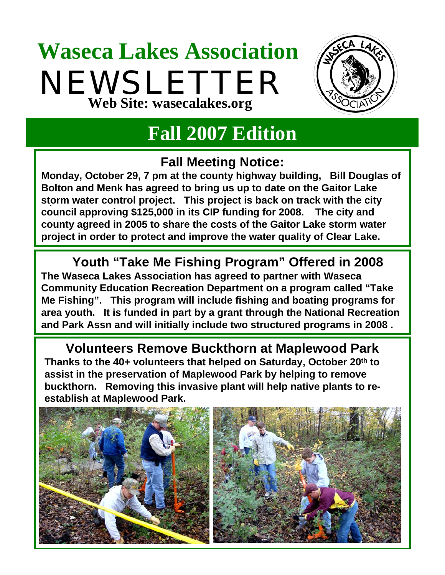## **Waseca Lakes Association** NEWSLETTER **Web Site: wasecalakes.org**



### **Fall 2007 Edition**

#### **Fall Meeting Notice:**

**Monday, October 29, 7 pm at the county highway building, Bill Douglas of Bolton and Menk has agreed to bring us up to date on the Gaitor Lake storm water control project. This project is back on track with the city**  . **council approving \$125,000 in its CIP funding for 2008. The city and county agreed in 2005 to share the costs of the Gaitor Lake storm water project in order to protect and improve the water quality of Clear Lake.** 

**Youth "Take Me Fishing Program" Offered in 2008 The Waseca Lakes Association has agreed to partner with Waseca Community Education Recreation Department on a program called "Take Me Fishing". This program will include fishing and boating programs for area youth. It is funded in part by a grant through the National Recreation and Park Assn and will initially include two structured programs in 2008 .**

**Volunteers Remove Buckthorn at Maplewood Park Thanks to the 40+ volunteers that helped on Saturday, October 20th to assist in the preservation of Maplewood Park by helping to remove buckthorn. Removing this invasive plant will help native plants to reestablish at Maplewood Park.**